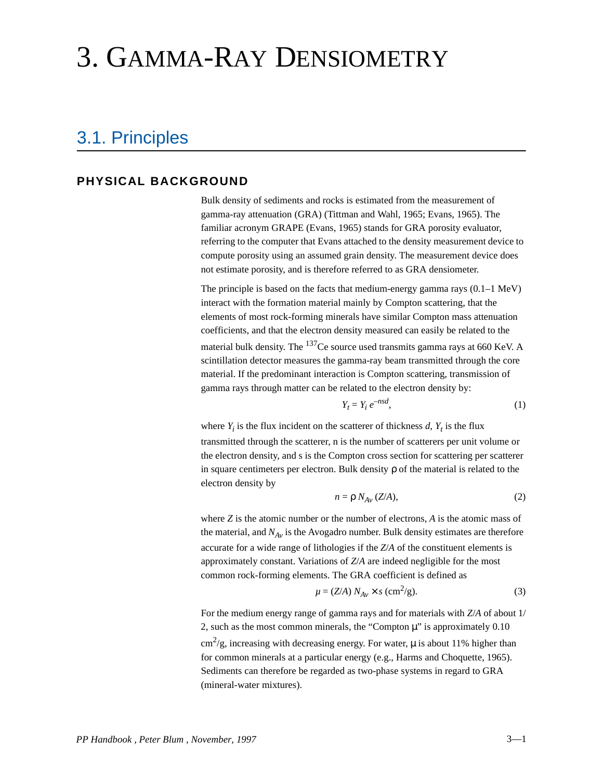# <span id="page-0-0"></span>3. GAMMA-RAY DENSIOMETRY

## 3.1. Principles

#### **PHYSICAL BACKGROUND**

Bulk density of sediments and rocks is estimated from the measurement of gamma-ray attenuation (GRA) (Tittman and Wahl, 1965; Evans, 1965). The familiar acronym GRAPE (Evans, 1965) stands for GRA porosity evaluator, referring to the computer that Evans attached to the density measurement device to compute porosity using an assumed grain density. The measurement device does not estimate porosity, and is therefore referred to as GRA densiometer.

The principle is based on the facts that medium-energy gamma rays  $(0.1-1 \text{ MeV})$ interact with the formation material mainly by Compton scattering, that the elements of most rock-forming minerals have similar Compton mass attenuation coefficients, and that the electron density measured can easily be related to the material bulk density. The <sup>137</sup>Ce source used transmits gamma rays at 660 KeV. A scintillation detector measures the gamma-ray beam transmitted through the core material. If the predominant interaction is Compton scattering, transmission of gamma rays through matter can be related to the electron density by:

$$
Y_t = Y_i e^{-nsd},\tag{1}
$$

where  $Y_i$  is the flux incident on the scatterer of thickness  $d, Y_t$  is the flux transmitted through the scatterer, n is the number of scatterers per unit volume or the electron density, and s is the Compton cross section for scattering per scatterer in square centimeters per electron. Bulk density ρ of the material is related to the electron density by

$$
n = \rho N_{Av} (Z/A), \tag{2}
$$

where *Z* is the atomic number or the number of electrons, *A* is the atomic mass of the material, and  $N_{Av}$  is the Avogadro number. Bulk density estimates are therefore accurate for a wide range of lithologies if the *Z*/*A* of the constituent elements is approximately constant. Variations of *Z*/*A* are indeed negligible for the most common rock-forming elements. The GRA coefficient is defined as

$$
\mu = (Z/A) N_{Av} \times s \, \text{(cm}^2\text{/g)}.
$$

For the medium energy range of gamma rays and for materials with *Z*/*A* of about 1/ 2, such as the most common minerals, the "Compton  $\mu$ " is approximately 0.10  $\text{cm}^2/\text{g}$ , increasing with decreasing energy. For water,  $\mu$  is about 11% higher than for common minerals at a particular energy (e.g., Harms and Choquette, 1965). Sediments can therefore be regarded as two-phase systems in regard to GRA (mineral-water mixtures).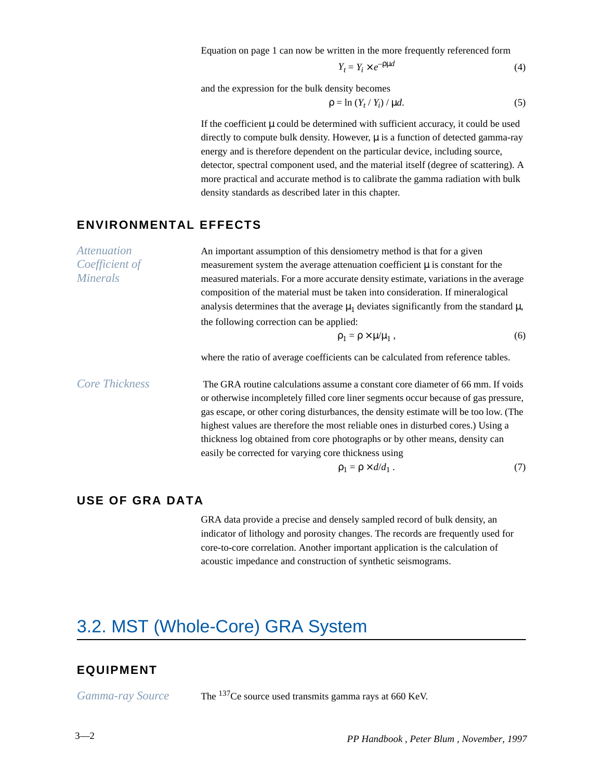Equation [on page 1](#page-0-0) can now be written in the more frequently referenced form

$$
Y_t = Y_i \times e^{-\rho \mu d} \tag{4}
$$

and the expression for the bulk density becomes

$$
\rho = \ln \left( Y_t / Y_i \right) / \mu d. \tag{5}
$$

If the coefficient  $\mu$  could be determined with sufficient accuracy, it could be used directly to compute bulk density. However,  $\mu$  is a function of detected gamma-ray energy and is therefore dependent on the particular device, including source, detector, spectral component used, and the material itself (degree of scattering). A more practical and accurate method is to calibrate the gamma radiation with bulk density standards as described later in this chapter.

#### **ENVIRONMENTAL EFFECTS**

| <i>Attenuation</i>    | An important assumption of this densiometry method is that for a given                                                                                                                                                                                                                                                                                                                                                            |     |  |
|-----------------------|-----------------------------------------------------------------------------------------------------------------------------------------------------------------------------------------------------------------------------------------------------------------------------------------------------------------------------------------------------------------------------------------------------------------------------------|-----|--|
| Coefficient of        | measurement system the average attenuation coefficient $\mu$ is constant for the                                                                                                                                                                                                                                                                                                                                                  |     |  |
| <b>Minerals</b>       | measured materials. For a more accurate density estimate, variations in the average                                                                                                                                                                                                                                                                                                                                               |     |  |
|                       | composition of the material must be taken into consideration. If mineralogical                                                                                                                                                                                                                                                                                                                                                    |     |  |
|                       | analysis determines that the average $\mu_1$ deviates significantly from the standard $\mu$ ,                                                                                                                                                                                                                                                                                                                                     |     |  |
|                       | the following correction can be applied:                                                                                                                                                                                                                                                                                                                                                                                          |     |  |
|                       | $\rho_1 = \rho \times \mu/\mu_1$ ,                                                                                                                                                                                                                                                                                                                                                                                                | (6) |  |
|                       | where the ratio of average coefficients can be calculated from reference tables.                                                                                                                                                                                                                                                                                                                                                  |     |  |
| <b>Core Thickness</b> | The GRA routine calculations assume a constant core diameter of 66 mm. If voids<br>or otherwise incompletely filled core liner segments occur because of gas pressure,<br>gas escape, or other coring disturbances, the density estimate will be too low. (The<br>highest values are therefore the most reliable ones in disturbed cores.) Using a<br>thickness log obtained from core photographs or by other means, density can |     |  |
|                       | easily be corrected for varying core thickness using                                                                                                                                                                                                                                                                                                                                                                              |     |  |
|                       | $\rho_1 = \rho \times d/d_1$ .                                                                                                                                                                                                                                                                                                                                                                                                    | (7) |  |

#### **USE OF GRA DATA**

GRA data provide a precise and densely sampled record of bulk density, an indicator of lithology and porosity changes. The records are frequently used for core-to-core correlation. Another important application is the calculation of acoustic impedance and construction of synthetic seismograms.

# 3.2. MST (Whole-Core) GRA System

#### **EQUIPMENT**

*Gamma-ray Source* The 137Ce source used transmits gamma rays at 660 KeV.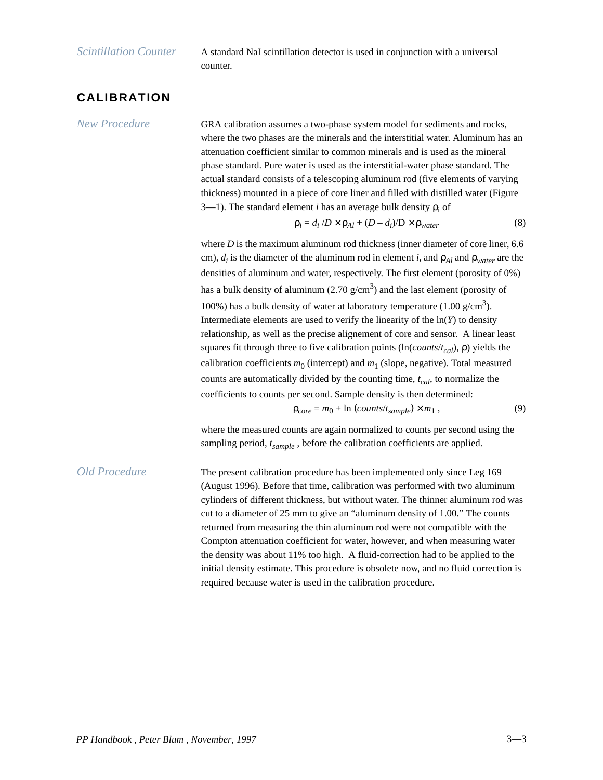*Scintillation Counter* A standard NaI scintillation detector is used in conjunction with a universal counter.

### **CALIBRATION**

*New Procedure* GRA calibration assumes a two-phase system model for sediments and rocks, where the two phases are the minerals and the interstitial water. Aluminum has an attenuation coefficient similar to common minerals and is used as the mineral phase standard. Pure water is used as the interstitial-water phase standard. The actual standard consists of a telescoping aluminum rod (five elements of varying thickness) mounted in a piece of core liner and filled with distilled water [\(Figure](#page-3-0)  [3—1](#page-3-0)). The standard element *i* has an average bulk density  $ρ<sub>i</sub>$  of

$$
\rho_i = d_i / D \times \rho_{Al} + (D - d_i) / D \times \rho_{water}
$$
 (8)

where *D* is the maximum aluminum rod thickness (inner diameter of core liner, 6.6 cm),  $d_i$  is the diameter of the aluminum rod in element *i*, and  $\rho_{Al}$  and  $\rho_{water}$  are the densities of aluminum and water, respectively. The first element (porosity of 0%) has a bulk density of aluminum (2.70  $g/cm<sup>3</sup>$ ) and the last element (porosity of 100%) has a bulk density of water at laboratory temperature  $(1.00 \text{ g/cm}^3)$ . Intermediate elements are used to verify the linearity of the ln(*Y*) to density relationship, as well as the precise alignement of core and sensor. A linear least squares fit through three to five calibration points (ln(*counts/t<sub>cal</sub>*), ρ) yields the calibration coefficients  $m_0$  (intercept) and  $m_1$  (slope, negative). Total measured counts are automatically divided by the counting time,  $t_{cal}$ , to normalize the coefficients to counts per second. Sample density is then determined:

$$
\rho_{core} = m_0 + \ln \left( \text{counts}/t_{sample} \right) \times m_1 , \tag{9}
$$

where the measured counts are again normalized to counts per second using the sampling period,  $t_{sample}$ , before the calibration coefficients are applied.

*Old Procedure* The present calibration procedure has been implemented only since Leg 169 (August 1996). Before that time, calibration was performed with two aluminum cylinders of different thickness, but without water. The thinner aluminum rod was cut to a diameter of 25 mm to give an "aluminum density of 1.00." The counts returned from measuring the thin aluminum rod were not compatible with the Compton attenuation coefficient for water, however, and when measuring water the density was about 11% too high. A fluid-correction had to be applied to the initial density estimate. This procedure is obsolete now, and no fluid correction is required because water is used in the calibration procedure.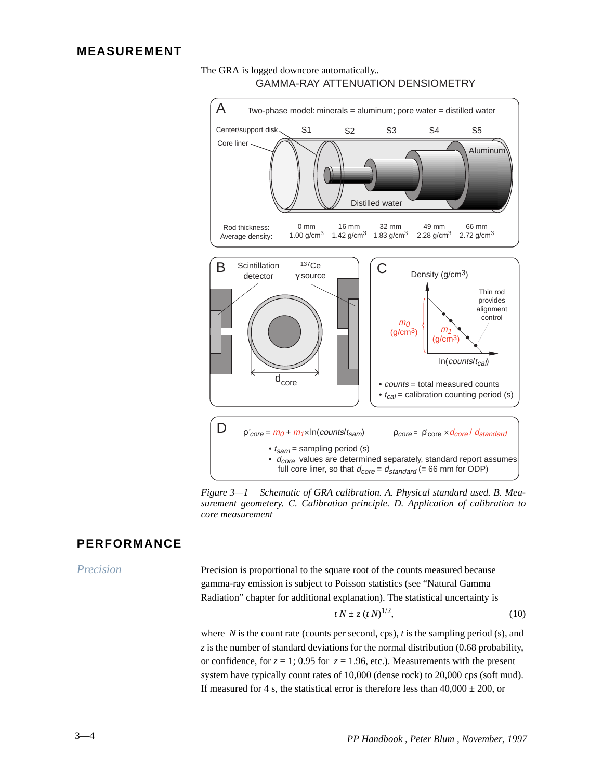<span id="page-3-0"></span>



*Figure 3—1 Schematic of GRA calibration. A. Physical standard used. B. Measurement geometery. C. Calibration principle. D. Application of calibration to core measurement*

#### **PERFORMANCE**

*Precision* Precision is proportional to the square root of the counts measured because gamma-ray emission is subject to Poisson statistics (see "Natural Gamma Radiation" chapter for additional explanation). The statistical uncertainty is

$$
t N \pm z \left( t N \right)^{1/2}, \tag{10}
$$

where *N* is the count rate (counts per second, cps), *t* is the sampling period (s), and  $\zeta$  is the number of standard deviations for the normal distribution (0.68 probability, or confidence, for  $z = 1$ ; 0.95 for  $z = 1.96$ , etc.). Measurements with the present system have typically count rates of 10,000 (dense rock) to 20,000 cps (soft mud). If measured for 4 s, the statistical error is therefore less than  $40,000 \pm 200$ , or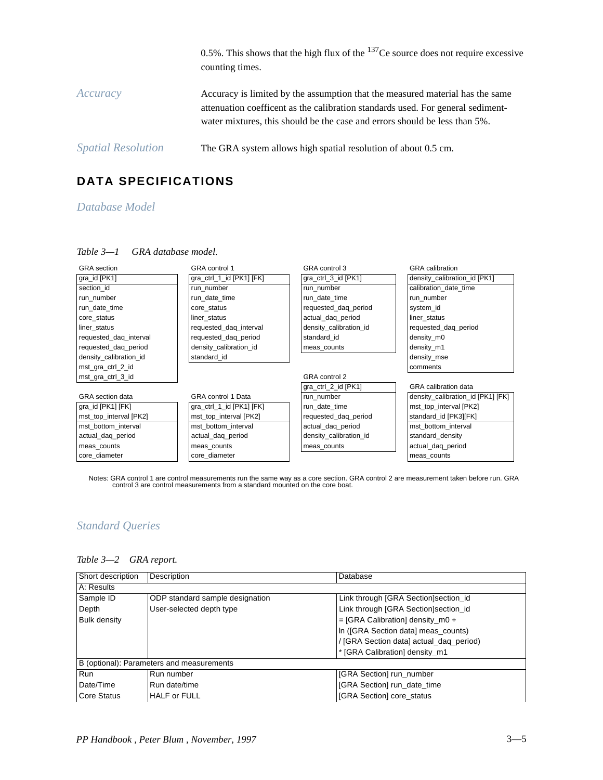|                           | 0.5%. This shows that the high flux of the $137$ Ce source does not require excessive<br>counting times.                                                                                                                                       |
|---------------------------|------------------------------------------------------------------------------------------------------------------------------------------------------------------------------------------------------------------------------------------------|
| Accuracy                  | Accuracy is limited by the assumption that the measured material has the same<br>attenuation coefficent as the calibration standards used. For general sediment-<br>water mixtures, this should be the case and errors should be less than 5%. |
| <i>Spatial Resolution</i> | The GRA system allows high spatial resolution of about 0.5 cm.                                                                                                                                                                                 |

### **DATA SPECIFICATIONS**

#### *Database Model*

#### *Table 3—1 GRA database model.*

| <b>GRA</b> section      | GRA control 1             | GRA control 3          | <b>GRA</b> calibration            |
|-------------------------|---------------------------|------------------------|-----------------------------------|
| gra_id [PK1]            | gra_ctrl_1_id [PK1] [FK]  | gra_ctrl_3_id [PK1]    | density calibration id [PK1]      |
| section id              | run number                | run number             | calibration date time             |
| run number              | run date time             | run date time          | run number                        |
| run date time           | core status               | requested_daq_period   | system id                         |
| core_status             | liner status              | actual_daq_period      | liner status                      |
| liner status            | requested_daq_interval    | density_calibration_id | requested_daq_period              |
| requested_daq_interval  | requested_daq_period      | standard id            | density m0                        |
| requested dag period    | density calibration id    | meas_counts            | density m1                        |
| density_calibration_id  | standard id               |                        | density mse                       |
| mst_gra_ctrl_2_id       |                           |                        | comments                          |
| mst_gra_ctrl_3_id       |                           | GRA control 2          |                                   |
|                         |                           | gra_ctrl_2_id [PK1]    | <b>GRA</b> calibration data       |
| <b>GRA</b> section data | <b>GRA</b> control 1 Data | run number             | density calibration id [PK1] [FK] |
| gra id [PK1] [FK]       | gra_ctrl_1_id [PK1] [FK]  | run date time          | mst_top_interval [PK2]            |
| mst_top_interval [PK2]  | mst_top_interval [PK2]    | requested_daq_period   | standard_id [PK3][FK]             |
| mst_bottom_interval     | mst_bottom_interval       | actual_daq_period      | mst bottom interval               |
| actual_daq_period       | actual_daq_period         | density_calibration_id | standard_density                  |
| meas_counts             | meas counts               | meas_counts            | actual_daq_period                 |
| core diameter           | core diameter             |                        | meas_counts                       |

Notes: GRA control 1 are control measurements run the same way as a core section. GRA control 2 are measurement taken before run. GRA<br>control 3 are control measurements from a standard mounted on the core boat.

#### *Standard Queries*

| Short description                         | Description                     | Database                                |  |
|-------------------------------------------|---------------------------------|-----------------------------------------|--|
| A: Results                                |                                 |                                         |  |
| Sample ID                                 | ODP standard sample designation | Link through [GRA Section]section_id    |  |
| Depth                                     | User-selected depth type        | Link through [GRA Section]section_id    |  |
| <b>Bulk density</b>                       |                                 | $=$ [GRA Calibration] density_m0 +      |  |
|                                           |                                 | In ([GRA Section data] meas_counts)     |  |
|                                           |                                 | / [GRA Section data] actual_daq_period) |  |
|                                           |                                 | * [GRA Calibration] density m1          |  |
| B (optional): Parameters and measurements |                                 |                                         |  |
| Run                                       | Run number                      | [GRA Section] run_number                |  |
| Date/Time                                 | Run date/time                   | [GRA Section] run_date_time             |  |
| <b>Core Status</b>                        | <b>HALF or FULL</b>             | [GRA Section] core_status               |  |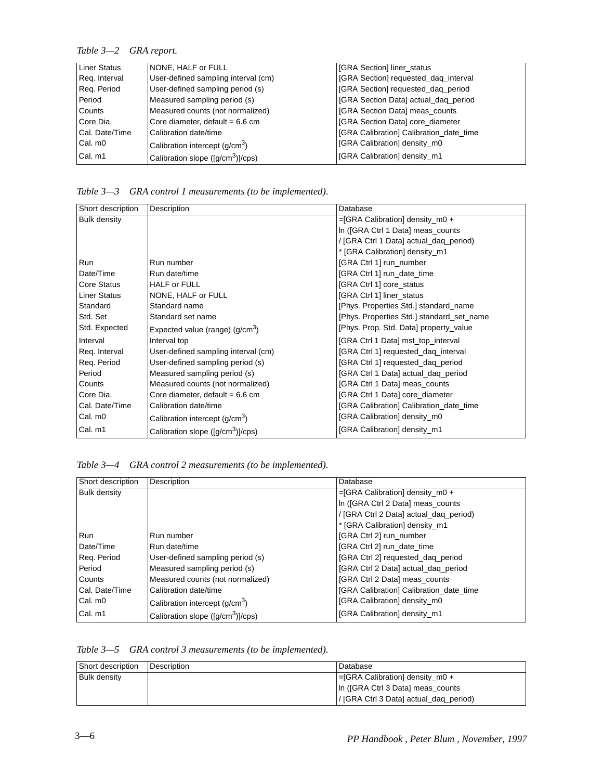#### *Table 3—2 GRA report.*

| Liner Status   | NONE, HALF or FULL                                      | <b>IGRA Section</b> liner status           |
|----------------|---------------------------------------------------------|--------------------------------------------|
| Reg. Interval  | User-defined sampling interval (cm)                     | [GRA Section] requested_daq_interval       |
| Reg. Period    | User-defined sampling period (s)                        | [GRA Section] requested_daq_period         |
| Period         | Measured sampling period (s)                            | <b>GRA</b> Section Data] actual_daq_period |
| Counts         | Measured counts (not normalized)                        | <b>GRA</b> Section Data] meas_counts       |
| Core Dia.      | Core diameter, default = $6.6$ cm                       | <b>GRA Section Datal core_diameter</b>     |
| Cal. Date/Time | Calibration date/time                                   | [GRA Calibration] Calibration_date_time    |
| Cal. m0        | Calibration intercept $(q/cm3)$                         | <b>IGRA Calibration</b> density m0         |
| Cal. m1        | Calibration slope ( $\left[\frac{q}{cm^3}\right]$ /cps) | <b>IGRA Calibration</b> density m1         |

*Table 3—3 GRA control 1 measurements (to be implemented).*

| Short description   | Description                                             | Database                                  |
|---------------------|---------------------------------------------------------|-------------------------------------------|
| <b>Bulk density</b> |                                                         | =[GRA Calibration] density_m0 +           |
|                     |                                                         | In ([GRA Ctrl 1 Data] meas_counts         |
|                     |                                                         | / [GRA Ctrl 1 Data] actual_daq_period)    |
|                     |                                                         | * [GRA Calibration] density_m1            |
| <b>Run</b>          | Run number                                              | [GRA Ctrl 1] run_number                   |
| Date/Time           | Run date/time                                           | [GRA Ctrl 1] run_date_time                |
| <b>Core Status</b>  | <b>HALF or FULL</b>                                     | [GRA Ctrl 1] core_status                  |
| <b>Liner Status</b> | NONE, HALF or FULL                                      | <b>IGRA Ctrl 1] liner status</b>          |
| Standard            | Standard name                                           | [Phys. Properties Std.] standard_name     |
| Std. Set            | Standard set name                                       | [Phys. Properties Std.] standard_set_name |
| Std. Expected       | Expected value (range) $(g/cm3)$                        | [Phys. Prop. Std. Data] property_value    |
| Interval            | Interval top                                            | [GRA Ctrl 1 Data] mst_top_interval        |
| Reg. Interval       | User-defined sampling interval (cm)                     | [GRA Ctrl 1] requested_daq_interval       |
| Req. Period         | User-defined sampling period (s)                        | [GRA Ctrl 1] requested_daq_period         |
| Period              | Measured sampling period (s)                            | [GRA Ctrl 1 Data] actual_daq_period       |
| Counts              | Measured counts (not normalized)                        | [GRA Ctrl 1 Data] meas_counts             |
| Core Dia.           | Core diameter, default = $6.6$ cm                       | [GRA Ctrl 1 Data] core_diameter           |
| Cal. Date/Time      | Calibration date/time                                   | [GRA Calibration] Calibration_date_time   |
| Cal. m0             | Calibration intercept (g/cm <sup>3</sup> )              | [GRA Calibration] density_m0              |
| Cal. m1             | Calibration slope ( $\left[\frac{q}{cm^3}\right]$ /cps) | [GRA Calibration] density_m1              |

*Table 3—4 GRA control 2 measurements (to be implemented).*

| Short description   | Description                                             | Database                                |
|---------------------|---------------------------------------------------------|-----------------------------------------|
| <b>Bulk density</b> |                                                         | $=$ [GRA Calibration] density m0 +      |
|                     |                                                         | In (JGRA Ctrl 2 Data) meas counts       |
|                     |                                                         | / [GRA Ctrl 2 Data] actual_daq_period)  |
|                     |                                                         | * [GRA Calibration] density m1          |
| Run                 | Run number                                              | [GRA Ctrl 2] run_number                 |
| Date/Time           | Run date/time                                           | [GRA Ctrl 2] run date time              |
| Reg. Period         | User-defined sampling period (s)                        | [GRA Ctrl 2] requested_daq_period       |
| Period              | Measured sampling period (s)                            | [GRA Ctrl 2 Data] actual dag period     |
| Counts              | Measured counts (not normalized)                        | [GRA Ctrl 2 Data] meas_counts           |
| Cal. Date/Time      | Calibration date/time                                   | [GRA Calibration] Calibration date time |
| Cal. m0             | Calibration intercept (g/cm <sup>3</sup> )              | [GRA Calibration] density m0            |
| Cal. m1             | Calibration slope ( $\left[\frac{q}{cm^3}\right]$ /cps) | [GRA Calibration] density m1            |

|  | Table 3-5 GRA control 3 measurements (to be implemented). |  |  |  |
|--|-----------------------------------------------------------|--|--|--|
|--|-----------------------------------------------------------|--|--|--|

| Short description   | Description | Database                                  |
|---------------------|-------------|-------------------------------------------|
| <b>Bulk density</b> |             | $\equiv$ GRA Calibration density $\mod$ + |
|                     |             | In (IGRA Ctrl 3 Data) meas counts         |
|                     |             | / [GRA Ctrl 3 Data] actual_daq_period)    |